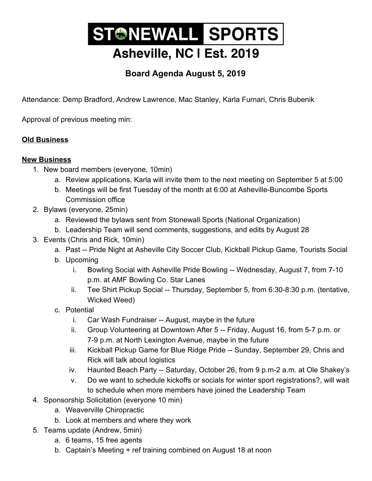## STONEWALL SPORTS Asheville, NC I Est. 2019

## **Board Agenda August 5, 2019**

Attendance: Demp Bradford, Andrew Lawrence, Mac Stanley, Karla Furnari, Chris Bubenik

Approval of previous meeting min:

## **Old Business**

## **New Business**

- 1. New board members (everyone, 10min)
	- a. Review applications, Karla will invite them to the next meeting on September 5 at 5:00
	- b. Meetings will be first Tuesday of the month at 6:00 at Asheville-Buncombe Sports Commission office
- 2. Bylaws (everyone, 25min)
	- a. Reviewed the bylaws sent from Stonewall Sports (National Organization)
	- b. Leadership Team will send comments, suggestions, and edits by August 28
- 3. Events (Chris and Rick, 10min)
	- a. Past -- Pride Night at Asheville City Soccer Club, Kickball Pickup Game, Tourists Social
	- b. Upcoming
		- i. Bowling Social with Asheville Pride Bowling -- Wednesday, August 7, from 7-10 p.m. at AMF Bowling Co. Star Lanes
		- ii. Tee Shirt Pickup Social -- Thursday, September 5, from 6:30-8:30 p.m. (tentative, Wicked Weed)
	- c. Potential
		- i. Car Wash Fundraiser -- August, maybe in the future
		- ii. Group Volunteering at Downtown After 5 -- Friday, August 16, from 5-7 p.m. or 7-9 p.m. at North Lexington Avenue, maybe in the future
		- iii. Kickball Pickup Game for Blue Ridge Pride -- Sunday, September 29, Chris and Rick will talk about logistics
		- iv. Haunted Beach Party -- Saturday, October 26, from 9 p.m-2 a.m. at Ole Shakey's
		- v. Do we want to schedule kickoffs or socials for winter sport registrations?, will wait to schedule when more members have joined the Leadership Team
- 4. Sponsorship Solicitation (everyone 10 min)
	- a. Weaverville Chiropractic
	- b. Look at members and where they work
- 5. Teams update (Andrew, 5min)
	- a. 6 teams, 15 free agents
	- b. Captain's Meeting + ref training combined on August 18 at noon